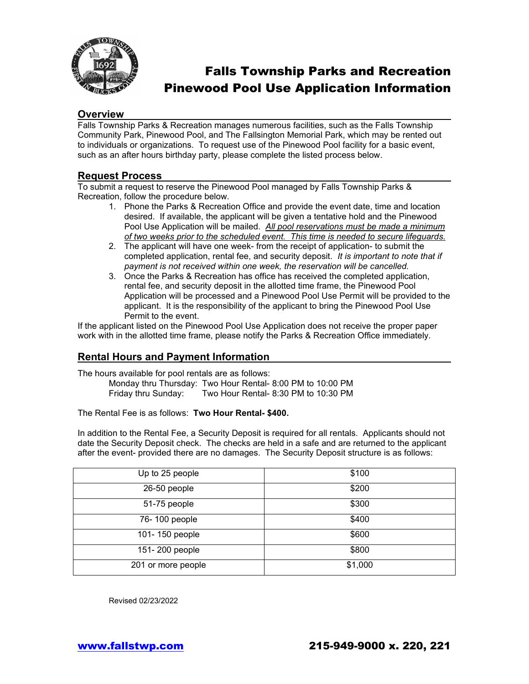

# Falls Township Parks and Recreation Pinewood Pool Use Application Information

#### **Overview**

Falls Township Parks & Recreation manages numerous facilities, such as the Falls Township Community Park, Pinewood Pool, and The Fallsington Memorial Park, which may be rented out to individuals or organizations. To request use of the Pinewood Pool facility for a basic event, such as an after hours birthday party, please complete the listed process below.

#### **Request Process**

To submit a request to reserve the Pinewood Pool managed by Falls Township Parks & Recreation, follow the procedure below.

- 1. Phone the Parks & Recreation Office and provide the event date, time and location desired. If available, the applicant will be given a tentative hold and the Pinewood Pool Use Application will be mailed. *All pool reservations must be made a minimum of two weeks prior to the scheduled event. This time is needed to secure lifeguards.*
- 2. The applicant will have one week- from the receipt of application- to submit the completed application, rental fee, and security deposit. *It is important to note that if payment is not received within one week, the reservation will be cancelled.*
- 3. Once the Parks & Recreation has office has received the completed application, rental fee, and security deposit in the allotted time frame, the Pinewood Pool Application will be processed and a Pinewood Pool Use Permit will be provided to the applicant. It is the responsibility of the applicant to bring the Pinewood Pool Use Permit to the event.

If the applicant listed on the Pinewood Pool Use Application does not receive the proper paper work with in the allotted time frame, please notify the Parks & Recreation Office immediately.

### **Rental Hours and Payment Information**

The hours available for pool rentals are as follows:

Monday thru Thursday: Two Hour Rental- 8:00 PM to 10:00 PM Friday thru Sunday: Two Hour Rental- 8:30 PM to 10:30 PM

The Rental Fee is as follows: **Two Hour Rental- \$400.**

In addition to the Rental Fee, a Security Deposit is required for all rentals. Applicants should not date the Security Deposit check. The checks are held in a safe and are returned to the applicant after the event- provided there are no damages. The Security Deposit structure is as follows:

| Up to 25 people    | \$100   |
|--------------------|---------|
| 26-50 people       | \$200   |
| 51-75 people       | \$300   |
| 76-100 people      | \$400   |
| 101-150 people     | \$600   |
| 151-200 people     | \$800   |
| 201 or more people | \$1,000 |

Revised 02/23/2022